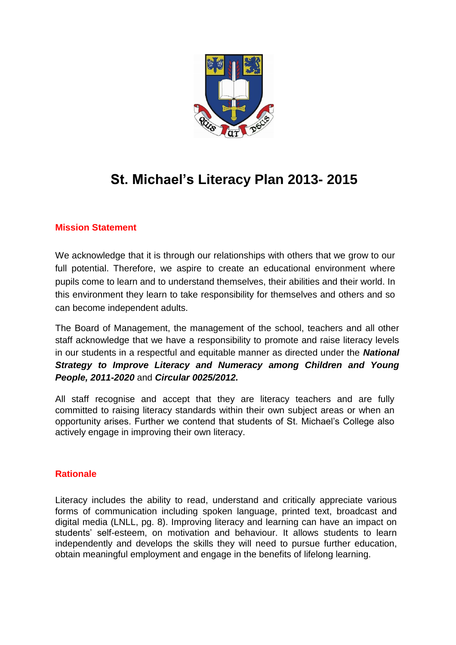

# **St. Michael's Literacy Plan 2013- 2015**

# **Mission Statement**

We acknowledge that it is through our relationships with others that we grow to our full potential. Therefore, we aspire to create an educational environment where pupils come to learn and to understand themselves, their abilities and their world. In this environment they learn to take responsibility for themselves and others and so can become independent adults.

The Board of Management, the management of the school, teachers and all other staff acknowledge that we have a responsibility to promote and raise literacy levels in our students in a respectful and equitable manner as directed under the *National Strategy to Improve Literacy and Numeracy among Children and Young People, 2011-2020* and *Circular 0025/2012.*

All staff recognise and accept that they are literacy teachers and are fully committed to raising literacy standards within their own subject areas or when an opportunity arises. Further we contend that students of St. Michael's College also actively engage in improving their own literacy.

# **Rationale**

Literacy includes the ability to read, understand and critically appreciate various forms of communication including spoken language, printed text, broadcast and digital media (LNLL, pg. 8). Improving literacy and learning can have an impact on students' self-esteem, on motivation and behaviour. It allows students to learn independently and develops the skills they will need to pursue further education, obtain meaningful employment and engage in the benefits of lifelong learning.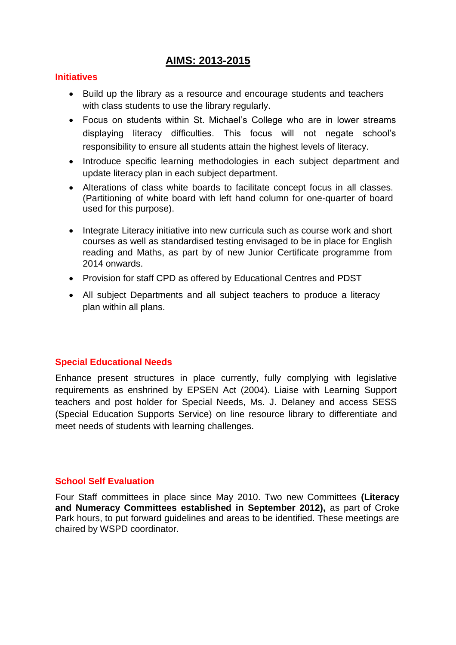# **AIMS: 2013-2015**

#### **Initiatives**

- Build up the library as a resource and encourage students and teachers with class students to use the library regularly.
- Focus on students within St. Michael's College who are in lower streams displaying literacy difficulties. This focus will not negate school's responsibility to ensure all students attain the highest levels of literacy.
- Introduce specific learning methodologies in each subject department and update literacy plan in each subject department.
- Alterations of class white boards to facilitate concept focus in all classes. (Partitioning of white board with left hand column for one-quarter of board used for this purpose).
- Integrate Literacy initiative into new curricula such as course work and short courses as well as standardised testing envisaged to be in place for English reading and Maths, as part by of new Junior Certificate programme from 2014 onwards.
- Provision for staff CPD as offered by Educational Centres and PDST
- All subject Departments and all subject teachers to produce a literacy plan within all plans.

#### **Special Educational Needs**

Enhance present structures in place currently, fully complying with legislative requirements as enshrined by EPSEN Act (2004). Liaise with Learning Support teachers and post holder for Special Needs, Ms. J. Delaney and access SESS (Special Education Supports Service) on line resource library to differentiate and meet needs of students with learning challenges.

#### **School Self Evaluation**

Four Staff committees in place since May 2010. Two new Committees **(Literacy and Numeracy Committees established in September 2012),** as part of Croke Park hours, to put forward guidelines and areas to be identified. These meetings are chaired by WSPD coordinator.